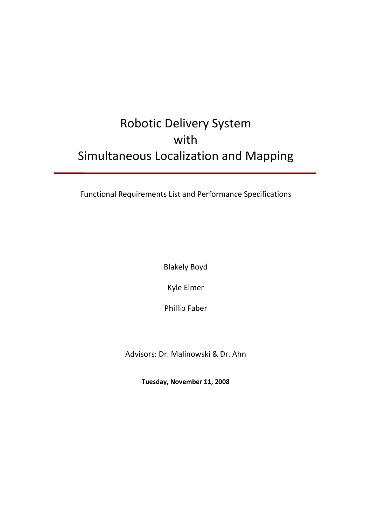# Robotic Delivery System with Simultaneous Localization and Mapping

Functional Requirements List and Performance Specifications

Blakely Boyd

Kyle Elmer

Phillip Faber

Advisors: Dr. Malinowski & Dr. Ahn

**Tuesday, November 11, 2008**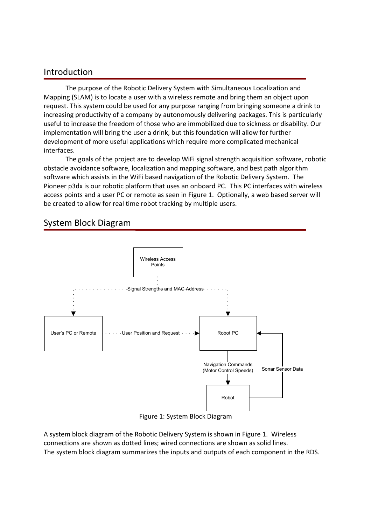### Introduction

The purpose of the Robotic Delivery System with Simultaneous Localization and Mapping (SLAM) is to locate a user with a wireless remote and bring them an object upon request. This system could be used for any purpose ranging from bringing someone a drink to increasing productivity of a company by autonomously delivering packages. This is particularly useful to increase the freedom of those who are immobilized due to sickness or disability. Our implementation will bring the user a drink, but this foundation will allow for further development of more useful applications which require more complicated mechanical interfaces.

The goals of the project are to develop WiFi signal strength acquisition software, robotic obstacle avoidance software, localization and mapping software, and best path algorithm software which assists in the WiFi based navigation of the Robotic Delivery System. The Pioneer p3dx is our robotic platform that uses an onboard PC. This PC interfaces with wireless access points and a user PC or remote as seen in Figure 1. Optionally, a web based server will be created to allow for real time robot tracking by multiple users.

## System Block Diagram



Figure 1: System Block Diagram

A system block diagram of the Robotic Delivery System is shown in Figure 1. Wireless connections are shown as dotted lines; wired connections are shown as solid lines. The system block diagram summarizes the inputs and outputs of each component in the RDS.